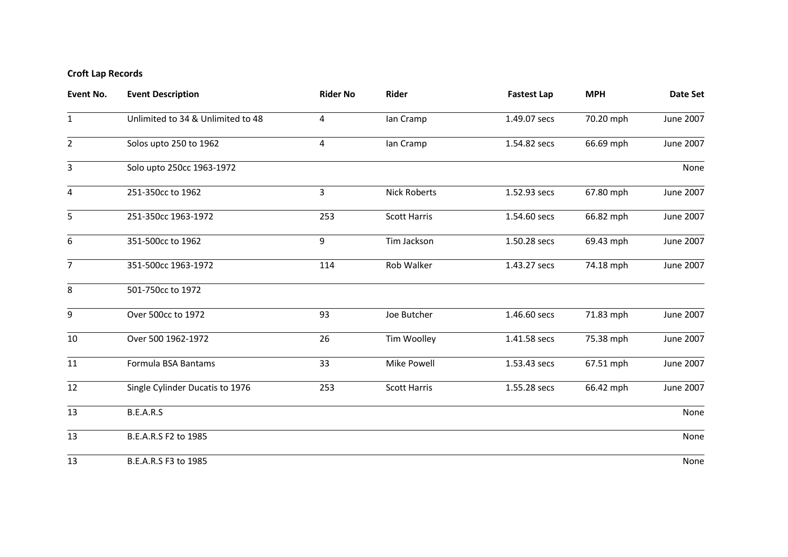## **Croft Lap Records**

| <b>Event No.</b> | <b>Event Description</b>          | <b>Rider No</b> | Rider               | <b>Fastest Lap</b> | <b>MPH</b> | Date Set  |
|------------------|-----------------------------------|-----------------|---------------------|--------------------|------------|-----------|
| $\mathbf{1}$     | Unlimited to 34 & Unlimited to 48 | 4               | lan Cramp           | 1.49.07 secs       | 70.20 mph  | June 2007 |
| $\overline{2}$   | Solos upto 250 to 1962            | 4               | lan Cramp           | 1.54.82 secs       | 66.69 mph  | June 2007 |
| 3                | Solo upto 250cc 1963-1972         |                 |                     |                    |            | None      |
| 4                | 251-350cc to 1962                 | 3               | <b>Nick Roberts</b> | 1.52.93 secs       | 67.80 mph  | June 2007 |
| 5                | 251-350cc 1963-1972               | 253             | <b>Scott Harris</b> | 1.54.60 secs       | 66.82 mph  | June 2007 |
| 6                | 351-500cc to 1962                 | 9               | Tim Jackson         | 1.50.28 secs       | 69.43 mph  | June 2007 |
| $\overline{7}$   | 351-500cc 1963-1972               | 114             | Rob Walker          | 1.43.27 secs       | 74.18 mph  | June 2007 |
| 8                | 501-750cc to 1972                 |                 |                     |                    |            |           |
| 9                | Over 500cc to 1972                | 93              | Joe Butcher         | 1.46.60 secs       | 71.83 mph  | June 2007 |
| 10               | Over 500 1962-1972                | 26              | Tim Woolley         | 1.41.58 secs       | 75.38 mph  | June 2007 |
| 11               | Formula BSA Bantams               | 33              | <b>Mike Powell</b>  | 1.53.43 secs       | 67.51 mph  | June 2007 |
| 12               | Single Cylinder Ducatis to 1976   | 253             | <b>Scott Harris</b> | 1.55.28 secs       | 66.42 mph  | June 2007 |
| 13               | B.E.A.R.S                         |                 |                     |                    |            | None      |
| 13               | B.E.A.R.S F2 to 1985              |                 |                     |                    |            | None      |
| 13               | B.E.A.R.S F3 to 1985              |                 |                     |                    |            | None      |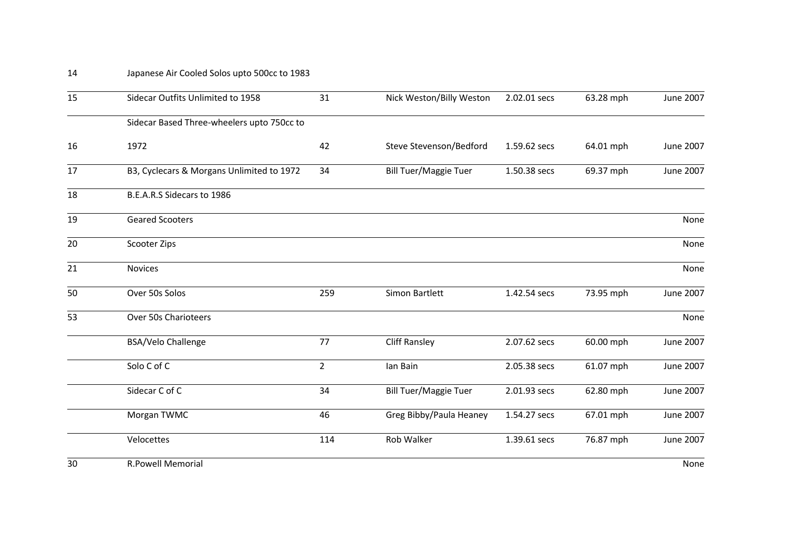## Japanese Air Cooled Solos upto 500cc to 1983

| 15 | Sidecar Outfits Unlimited to 1958          | 31             | Nick Weston/Billy Weston     | 2.02.01 secs | 63.28 mph | June 2007        |
|----|--------------------------------------------|----------------|------------------------------|--------------|-----------|------------------|
|    | Sidecar Based Three-wheelers upto 750cc to |                |                              |              |           |                  |
| 16 | 1972                                       | 42             | Steve Stevenson/Bedford      | 1.59.62 secs | 64.01 mph | June 2007        |
| 17 | B3, Cyclecars & Morgans Unlimited to 1972  | 34             | <b>Bill Tuer/Maggie Tuer</b> | 1.50.38 secs | 69.37 mph | June 2007        |
| 18 | B.E.A.R.S Sidecars to 1986                 |                |                              |              |           |                  |
| 19 | <b>Geared Scooters</b>                     |                |                              |              |           | None             |
| 20 | Scooter Zips                               |                |                              |              |           | None             |
| 21 | <b>Novices</b>                             |                |                              |              |           | None             |
| 50 | Over 50s Solos                             | 259            | Simon Bartlett               | 1.42.54 secs | 73.95 mph | June 2007        |
| 53 | Over 50s Charioteers                       |                |                              |              |           | None             |
|    | <b>BSA/Velo Challenge</b>                  | 77             | <b>Cliff Ransley</b>         | 2.07.62 secs | 60.00 mph | June 2007        |
|    | Solo C of C                                | $\overline{2}$ | lan Bain                     | 2.05.38 secs | 61.07 mph | <b>June 2007</b> |
|    | Sidecar C of C                             | 34             | <b>Bill Tuer/Maggie Tuer</b> | 2.01.93 secs | 62.80 mph | <b>June 2007</b> |
|    | Morgan TWMC                                | 46             | Greg Bibby/Paula Heaney      | 1.54.27 secs | 67.01 mph | June 2007        |
|    | Velocettes                                 | 114            | Rob Walker                   | 1.39.61 secs | 76.87 mph | June 2007        |
| 30 | <b>R.Powell Memorial</b>                   |                |                              |              |           | None             |